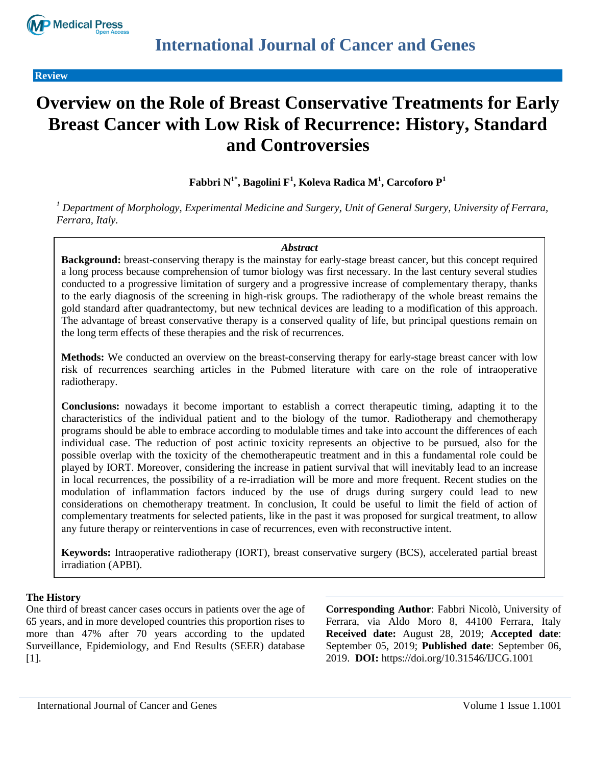

**Review**

# **Overview on the Role of Breast Conservative Treatments for Early Breast Cancer with Low Risk of Recurrence: History, Standard and Controversies**

## **Fabbri N1\* , Bagolini F<sup>1</sup> , Koleva Radica M<sup>1</sup> , Carcoforo P<sup>1</sup>**

*<sup>1</sup> Department of Morphology, Experimental Medicine and Surgery, Unit of General Surgery, University of Ferrara, Ferrara, Italy.*

#### *Abstract*

**Background:** breast-conserving therapy is the mainstay for early-stage breast cancer, but this concept required a long process because comprehension of tumor biology was first necessary. In the last century several studies conducted to a progressive limitation of surgery and a progressive increase of complementary therapy, thanks to the early diagnosis of the screening in high-risk groups. The radiotherapy of the whole breast remains the gold standard after quadrantectomy, but new technical devices are leading to a modification of this approach. The advantage of breast conservative therapy is a conserved quality of life, but principal questions remain on the long term effects of these therapies and the risk of recurrences.

**Methods:** We conducted an overview on the breast-conserving therapy for early-stage breast cancer with low risk of recurrences searching articles in the Pubmed literature with care on the role of intraoperative radiotherapy.

**Conclusions:** nowadays it become important to establish a correct therapeutic timing, adapting it to the characteristics of the individual patient and to the biology of the tumor. Radiotherapy and chemotherapy programs should be able to embrace according to modulable times and take into account the differences of each individual case. The reduction of post actinic toxicity represents an objective to be pursued, also for the possible overlap with the toxicity of the chemotherapeutic treatment and in this a fundamental role could be played by IORT. Moreover, considering the increase in patient survival that will inevitably lead to an increase in local recurrences, the possibility of a re-irradiation will be more and more frequent. Recent studies on the modulation of inflammation factors induced by the use of drugs during surgery could lead to new considerations on chemotherapy treatment. In conclusion, It could be useful to limit the field of action of complementary treatments for selected patients, like in the past it was proposed for surgical treatment, to allow any future therapy or reinterventions in case of recurrences, even with reconstructive intent.

**Keywords:** Intraoperative radiotherapy (IORT), breast conservative surgery (BCS), accelerated partial breast irradiation (APBI).

## **The History**

One third of breast cancer cases occurs in patients over the age of 65 years, and in more developed countries this proportion rises to more than 47% after 70 years according to the updated Surveillance, Epidemiology, and End Results (SEER) database [1].

**Corresponding Author**: Fabbri Nicolò, University of Ferrara, via Aldo Moro 8, 44100 Ferrara, Italy **Received date:** August 28, 2019; **Accepted date**: September 05, 2019; **Published date**: September 06, 2019. **DOI:** https://doi.org/10.31546/IJCG.1001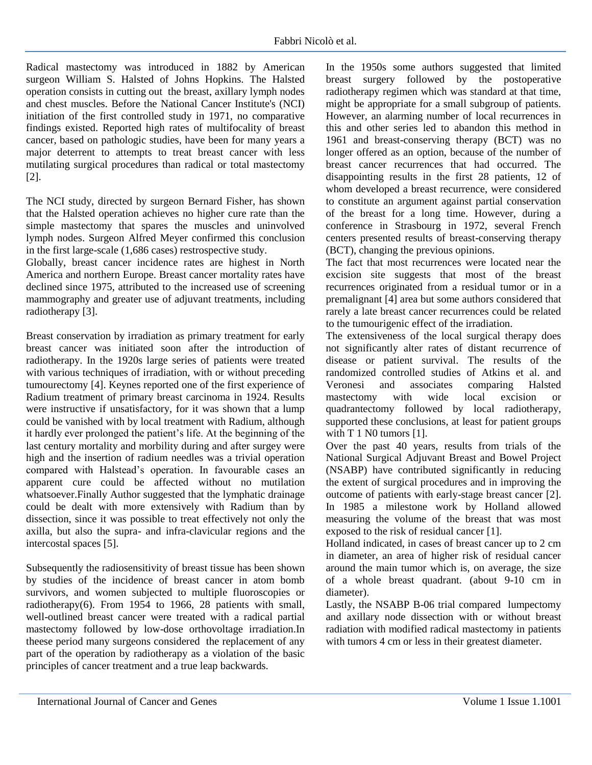Radical mastectomy was introduced in 1882 by American surgeon William S. Halsted of Johns Hopkins. The Halsted operation consists in cutting out the breast, axillary lymph nodes and chest muscles. Before the National Cancer Institute's (NCI) initiation of the first controlled study in 1971, no comparative findings existed. Reported high rates of multifocality of breast cancer, based on pathologic studies, have been for many years a major deterrent to attempts to treat breast cancer with less mutilating surgical procedures than radical or total mastectomy [2].

The NCI study, directed by surgeon Bernard Fisher, has shown that the Halsted operation achieves no higher cure rate than the simple mastectomy that spares the muscles and uninvolved lymph nodes. Surgeon Alfred Meyer confirmed this conclusion in the first large-scale (1,686 cases) restrospective study.

Globally, breast cancer incidence rates are highest in North America and northern Europe. Breast cancer mortality rates have declined since 1975, attributed to the increased use of screening mammography and greater use of adjuvant treatments, including radiotherapy [3].

Breast conservation by irradiation as primary treatment for early breast cancer was initiated soon after the introduction of radiotherapy. In the 1920s large series of patients were treated with various techniques of irradiation, with or without preceding tumourectomy [4]. Keynes reported one of the first experience of Radium treatment of primary breast carcinoma in 1924. Results were instructive if unsatisfactory, for it was shown that a lump could be vanished with by local treatment with Radium, although it hardly ever prolonged the patient's life. At the beginning of the last century mortality and morbility during and after surgey were high and the insertion of radium needles was a trivial operation compared with Halstead's operation. In favourable cases an apparent cure could be affected without no mutilation whatsoever.Finally Author suggested that the lymphatic drainage could be dealt with more extensively with Radium than by dissection, since it was possible to treat effectively not only the axilla, but also the supra- and infra-clavicular regions and the intercostal spaces [5].

Subsequently the radiosensitivity of breast tissue has been shown by studies of the incidence of breast cancer in atom bomb survivors, and women subjected to multiple fluoroscopies or radiotherapy(6). From 1954 to 1966, 28 patients with small, well-outlined breast cancer were treated with a radical partial mastectomy followed by low-dose orthovoltage irradiation.In theese period many surgeons considered the replacement of any part of the operation by radiotherapy as a violation of the basic principles of cancer treatment and a true leap backwards.

In the 1950s some authors suggested that limited breast surgery followed by the postoperative radiotherapy regimen which was standard at that time, might be appropriate for a small subgroup of patients. However, an alarming number of local recurrences in this and other series led to abandon this method in 1961 and breast-conserving therapy (BCT) was no longer offered as an option, because of the number of breast cancer recurrences that had occurred. The disappointing results in the first 28 patients, 12 of whom developed a breast recurrence, were considered to constitute an argument against partial conservation of the breast for a long time. However, during a conference in Strasbourg in 1972, several French centers presented results of breast-conserving therapy (BCT), changing the previous opinions.

The fact that most recurrences were located near the excision site suggests that most of the breast recurrences originated from a residual tumor or in a premalignant [4] area but some authors considered that rarely a late breast cancer recurrences could be related to the tumourigenic effect of the irradiation.

The extensiveness of the local surgical therapy does not significantly alter rates of distant recurrence of disease or patient survival. The results of the randomized controlled studies of Atkins et al. and Veronesi and associates comparing Halsted mastectomy with wide local excision or quadrantectomy followed by local radiotherapy, supported these conclusions, at least for patient groups with T 1 N0 tumors [1].

Over the past 40 years, results from trials of the National Surgical Adjuvant Breast and Bowel Project (NSABP) have contributed significantly in reducing the extent of surgical procedures and in improving the outcome of patients with early-stage breast cancer [2]. In 1985 a milestone work by Holland allowed measuring the volume of the breast that was most exposed to the risk of residual cancer [1].

Holland indicated, in cases of breast cancer up to 2 cm in diameter, an area of higher risk of residual cancer around the main tumor which is, on average, the size of a whole breast quadrant. (about 9-10 cm in diameter).

Lastly, the NSABP B-06 trial compared lumpectomy and axillary node dissection with or without breast radiation with modified radical mastectomy in patients with tumors 4 cm or less in their greatest diameter.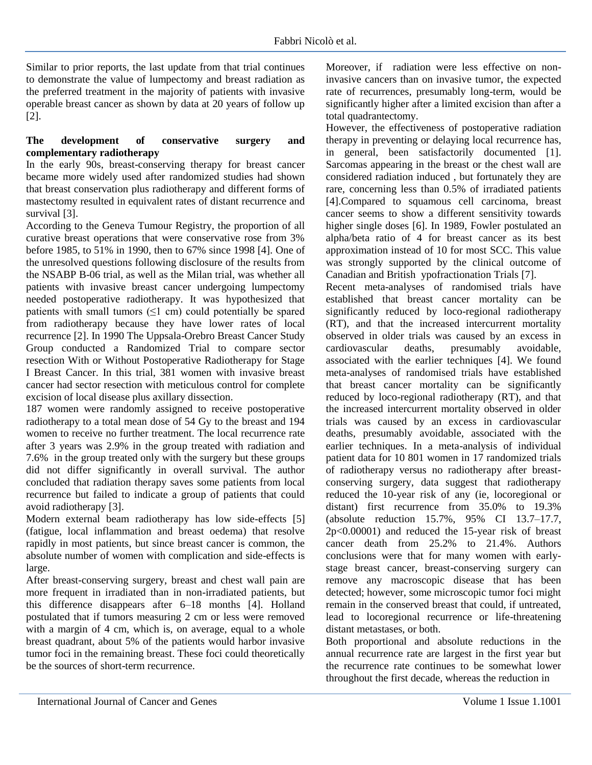Similar to prior reports, the last update from that trial continues to demonstrate the value of lumpectomy and breast radiation as the preferred treatment in the majority of patients with invasive operable breast cancer as shown by data at 20 years of follow up [2].

## **The development of conservative surgery and complementary radiotherapy**

In the early 90s, breast-conserving therapy for breast cancer became more widely used after randomized studies had shown that breast conservation plus radiotherapy and different forms of mastectomy resulted in equivalent rates of distant recurrence and survival [3].

According to the Geneva Tumour Registry, the proportion of all curative breast operations that were conservative rose from 3% before 1985, to 51% in 1990, then to 67% since 1998 [4]. One of the unresolved questions following disclosure of the results from the NSABP B-06 trial, as well as the Milan trial, was whether all patients with invasive breast cancer undergoing lumpectomy needed postoperative radiotherapy. It was hypothesized that patients with small tumors  $(\leq 1 \text{ cm})$  could potentially be spared from radiotherapy because they have lower rates of local recurrence [2]. In 1990 The Uppsala-Orebro Breast Cancer Study Group conducted a Randomized Trial to compare sector resection With or Without Postoperative Radiotherapy for Stage I Breast Cancer. In this trial, 381 women with invasive breast cancer had sector resection with meticulous control for complete excision of local disease plus axillary dissection.

187 women were randomly assigned to receive postoperative radiotherapy to a total mean dose of 54 Gy to the breast and 194 women to receive no further treatment. The local recurrence rate after 3 years was 2.9% in the group treated with radiation and 7.6% in the group treated only with the surgery but these groups did not differ significantly in overall survival. The author concluded that radiation therapy saves some patients from local recurrence but failed to indicate a group of patients that could avoid radiotherapy [3].

Modern external beam radiotherapy has low side-effects [5] (fatigue, local inflammation and breast oedema) that resolve rapidly in most patients, but since breast cancer is common, the absolute number of women with complication and side-effects is large.

After breast-conserving surgery, breast and chest wall pain are more frequent in irradiated than in non-irradiated patients, but this difference disappears after 6–18 months [4]. Holland postulated that if tumors measuring 2 cm or less were removed with a margin of 4 cm, which is, on average, equal to a whole breast quadrant, about 5% of the patients would harbor invasive tumor foci in the remaining breast. These foci could theoretically be the sources of short-term recurrence.

Moreover, if radiation were less effective on noninvasive cancers than on invasive tumor, the expected rate of recurrences, presumably long-term, would be significantly higher after a limited excision than after a total quadrantectomy.

However, the effectiveness of postoperative radiation therapy in preventing or delaying local recurrence has, in general, been satisfactorily documented [1]. Sarcomas appearing in the breast or the chest wall are considered radiation induced , but fortunately they are rare, concerning less than 0.5% of irradiated patients [4].Compared to squamous cell carcinoma, breast cancer seems to show a different sensitivity towards higher single doses [6]. In 1989, Fowler postulated an alpha/beta ratio of 4 for breast cancer as its best approximation instead of 10 for most SCC. This value was strongly supported by the clinical outcome of Canadian and British ypofractionation Trials [7].

Recent meta-analyses of randomised trials have established that breast cancer mortality can be significantly reduced by loco-regional radiotherapy (RT), and that the increased intercurrent mortality observed in older trials was caused by an excess in cardiovascular deaths, presumably avoidable, associated with the earlier techniques [4]. We found meta-analyses of randomised trials have established that breast cancer mortality can be significantly reduced by loco-regional radiotherapy (RT), and that the increased intercurrent mortality observed in older trials was caused by an excess in cardiovascular deaths, presumably avoidable, associated with the earlier techniques. In a meta-analysis of individual patient data for 10 801 women in 17 randomized trials of radiotherapy versus no radiotherapy after breastconserving surgery, data suggest that radiotherapy reduced the 10-year risk of any (ie, locoregional or distant) first recurrence from 35.0% to 19.3% (absolute reduction 15.7%, 95% CI 13.7–17.7, 2p<0.00001) and reduced the 15-year risk of breast cancer death from 25.2% to 21.4%. Authors conclusions were that for many women with earlystage breast cancer, breast-conserving surgery can remove any macroscopic disease that has been detected; however, some microscopic tumor foci might remain in the conserved breast that could, if untreated, lead to locoregional recurrence or life-threatening distant metastases, or both.

Both proportional and absolute reductions in the annual recurrence rate are largest in the first year but the recurrence rate continues to be somewhat lower throughout the first decade, whereas the reduction in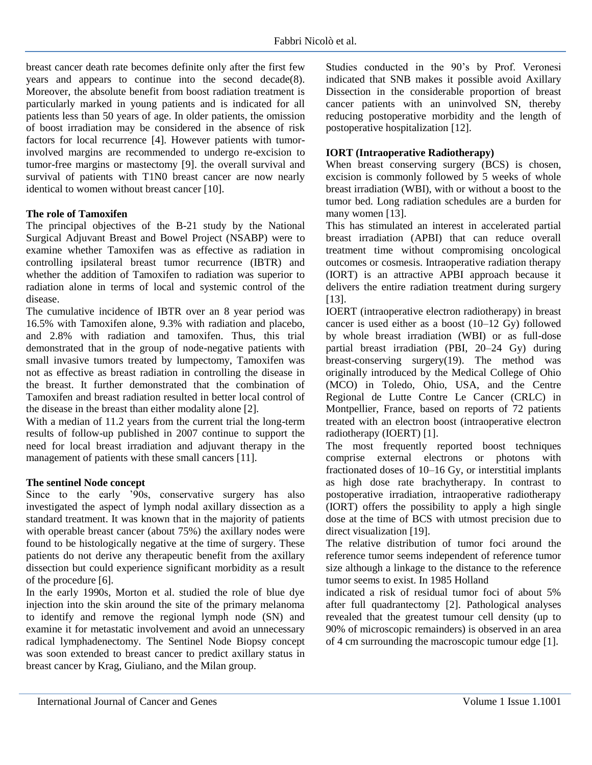breast cancer death rate becomes definite only after the first few years and appears to continue into the second decade(8). Moreover, the absolute benefit from boost radiation treatment is particularly marked in young patients and is indicated for all patients less than 50 years of age. In older patients, the omission of boost irradiation may be considered in the absence of risk factors for local recurrence [4]. However patients with tumorinvolved margins are recommended to undergo re-excision to tumor-free margins or mastectomy [9]. the overall survival and survival of patients with T1N0 breast cancer are now nearly identical to women without breast cancer [10].

#### **The role of Tamoxifen**

The principal objectives of the B-21 study by the National Surgical Adjuvant Breast and Bowel Project (NSABP) were to examine whether Tamoxifen was as effective as radiation in controlling ipsilateral breast tumor recurrence (IBTR) and whether the addition of Tamoxifen to radiation was superior to radiation alone in terms of local and systemic control of the disease.

The cumulative incidence of IBTR over an 8 year period was 16.5% with Tamoxifen alone, 9.3% with radiation and placebo, and 2.8% with radiation and tamoxifen. Thus, this trial demonstrated that in the group of node-negative patients with small invasive tumors treated by lumpectomy, Tamoxifen was not as effective as breast radiation in controlling the disease in the breast. It further demonstrated that the combination of Tamoxifen and breast radiation resulted in better local control of the disease in the breast than either modality alone [2].

With a median of 11.2 years from the current trial the long-term results of follow-up published in 2007 continue to support the need for local breast irradiation and adjuvant therapy in the management of patients with these small cancers [11].

#### **The sentinel Node concept**

Since to the early '90s, conservative surgery has also investigated the aspect of lymph nodal axillary dissection as a standard treatment. It was known that in the majority of patients with operable breast cancer (about 75%) the axillary nodes were found to be histologically negative at the time of surgery. These patients do not derive any therapeutic benefit from the axillary dissection but could experience significant morbidity as a result of the procedure [6].

In the early 1990s, Morton et al. studied the role of blue dye injection into the skin around the site of the primary melanoma to identify and remove the regional lymph node (SN) and examine it for metastatic involvement and avoid an unnecessary radical lymphadenectomy. The Sentinel Node Biopsy concept was soon extended to breast cancer to predict axillary status in breast cancer by Krag, Giuliano, and the Milan group.

Studies conducted in the 90's by Prof. Veronesi indicated that SNB makes it possible avoid Axillary Dissection in the considerable proportion of breast cancer patients with an uninvolved SN, thereby reducing postoperative morbidity and the length of postoperative hospitalization [12].

#### **IORT (Intraoperative Radiotherapy)**

When breast conserving surgery (BCS) is chosen, excision is commonly followed by 5 weeks of whole breast irradiation (WBI), with or without a boost to the tumor bed. Long radiation schedules are a burden for many women [13].

This has stimulated an interest in accelerated partial breast irradiation (APBI) that can reduce overall treatment time without compromising oncological outcomes or cosmesis. Intraoperative radiation therapy (IORT) is an attractive APBI approach because it delivers the entire radiation treatment during surgery [13].

IOERT (intraoperative electron radiotherapy) in breast cancer is used either as a boost (10–12 Gy) followed by whole breast irradiation (WBI) or as full-dose partial breast irradiation (PBI, 20–24 Gy) during breast-conserving surgery(19). The method was originally introduced by the Medical College of Ohio (MCO) in Toledo, Ohio, USA, and the Centre Regional de Lutte Contre Le Cancer (CRLC) in Montpellier, France, based on reports of 72 patients treated with an electron boost (intraoperative electron radiotherapy (IOERT) [1].

The most frequently reported boost techniques comprise external electrons or photons with fractionated doses of 10–16 Gy, or interstitial implants as high dose rate brachytherapy. In contrast to postoperative irradiation, intraoperative radiotherapy (IORT) offers the possibility to apply a high single dose at the time of BCS with utmost precision due to direct visualization [19].

The relative distribution of tumor foci around the reference tumor seems independent of reference tumor size although a linkage to the distance to the reference tumor seems to exist. In 1985 Holland

indicated a risk of residual tumor foci of about 5% after full quadrantectomy [2]. Pathological analyses revealed that the greatest tumour cell density (up to 90% of microscopic remainders) is observed in an area of 4 cm surrounding the macroscopic tumour edge [1].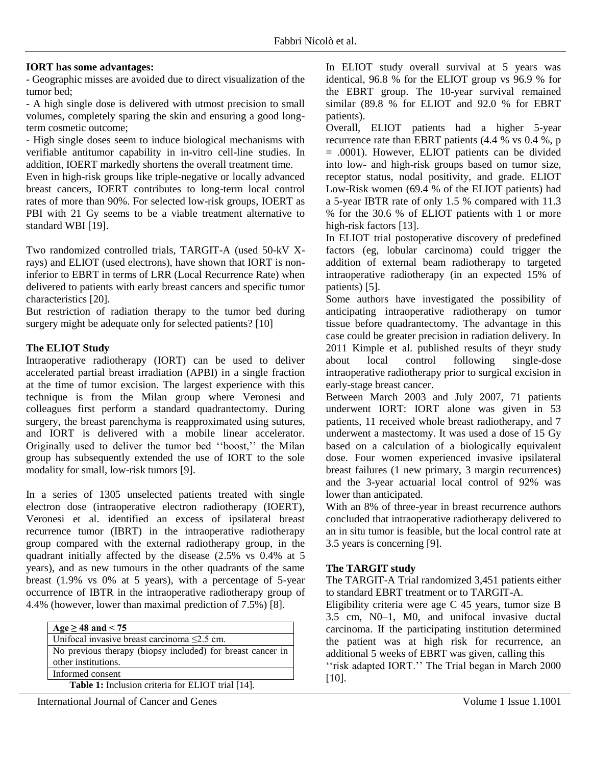## **IORT has some advantages:**

- Geographic misses are avoided due to direct visualization of the tumor bed;

- A high single dose is delivered with utmost precision to small volumes, completely sparing the skin and ensuring a good longterm cosmetic outcome;

- High single doses seem to induce biological mechanisms with verifiable antitumor capability in in-vitro cell-line studies. In addition, IOERT markedly shortens the overall treatment time.

Even in high-risk groups like triple-negative or locally advanced breast cancers, IOERT contributes to long-term local control rates of more than 90%. For selected low-risk groups, IOERT as PBI with 21 Gy seems to be a viable treatment alternative to standard WBI [19].

Two randomized controlled trials, TARGIT-A (used 50-kV Xrays) and ELIOT (used electrons), have shown that IORT is noninferior to EBRT in terms of LRR (Local Recurrence Rate) when delivered to patients with early breast cancers and specific tumor characteristics [20].

But restriction of radiation therapy to the tumor bed during surgery might be adequate only for selected patients? [10]

#### **The ELIOT Study**

Intraoperative radiotherapy (IORT) can be used to deliver accelerated partial breast irradiation (APBI) in a single fraction at the time of tumor excision. The largest experience with this technique is from the Milan group where Veronesi and colleagues first perform a standard quadrantectomy. During surgery, the breast parenchyma is reapproximated using sutures, and IORT is delivered with a mobile linear accelerator. Originally used to deliver the tumor bed ''boost,'' the Milan group has subsequently extended the use of IORT to the sole modality for small, low-risk tumors [9].

In a series of 1305 unselected patients treated with single electron dose (intraoperative electron radiotherapy (IOERT), Veronesi et al. identified an excess of ipsilateral breast recurrence tumor (IBRT) in the intraoperative radiotherapy group compared with the external radiotherapy group, in the quadrant initially affected by the disease (2.5% vs 0.4% at 5 years), and as new tumours in the other quadrants of the same breast (1.9% vs 0% at 5 years), with a percentage of 5-year occurrence of IBTR in the intraoperative radiotherapy group of 4.4% (however, lower than maximal prediction of 7.5%) [8].

| Age $\geq$ 48 and < 75                                     |
|------------------------------------------------------------|
| Unifocal invasive breast carcinoma $\leq$ 2.5 cm.          |
| No previous therapy (biopsy included) for breast cancer in |
| other institutions.                                        |
| Informed consent                                           |
| <b>Table 1:</b> Inclusion criteria for ELIOT trial [14].   |

International Journal of Cancer and Genes Volume 1 Issue 1.1001

In ELIOT study overall survival at 5 years was identical, 96.8 % for the ELIOT group vs 96.9 % for the EBRT group. The 10-year survival remained similar (89.8 % for ELIOT and 92.0 % for EBRT patients).

Overall, ELIOT patients had a higher 5-year recurrence rate than EBRT patients (4.4 % vs 0.4 %, p = .0001). However, ELIOT patients can be divided into low- and high-risk groups based on tumor size, receptor status, nodal positivity, and grade. ELIOT Low-Risk women (69.4 % of the ELIOT patients) had a 5-year IBTR rate of only 1.5 % compared with 11.3 % for the 30.6 % of ELIOT patients with 1 or more high-risk factors [13].

In ELIOT trial postoperative discovery of predefined factors (eg, lobular carcinoma) could trigger the addition of external beam radiotherapy to targeted intraoperative radiotherapy (in an expected 15% of patients) [5].

Some authors have investigated the possibility of anticipating intraoperative radiotherapy on tumor tissue before quadrantectomy. The advantage in this case could be greater precision in radiation delivery. In 2011 Kimple et al. published results of theyr study about local control following single-dose intraoperative radiotherapy prior to surgical excision in early-stage breast cancer.

Between March 2003 and July 2007, 71 patients underwent IORT: IORT alone was given in 53 patients, 11 received whole breast radiotherapy, and 7 underwent a mastectomy. It was used a dose of 15 Gy based on a calculation of a biologically equivalent dose. Four women experienced invasive ipsilateral breast failures (1 new primary, 3 margin recurrences) and the 3-year actuarial local control of 92% was lower than anticipated.

With an 8% of three-year in breast recurrence authors concluded that intraoperative radiotherapy delivered to an in situ tumor is feasible, but the local control rate at 3.5 years is concerning [9].

## **The TARGIT study**

The TARGIT-A Trial randomized 3,451 patients either to standard EBRT treatment or to TARGIT-A.

Eligibility criteria were age C 45 years, tumor size B 3.5 cm, N0–1, M0, and unifocal invasive ductal carcinoma. If the participating institution determined the patient was at high risk for recurrence, an additional 5 weeks of EBRT was given, calling this

''risk adapted IORT.'' The Trial began in March 2000 [10].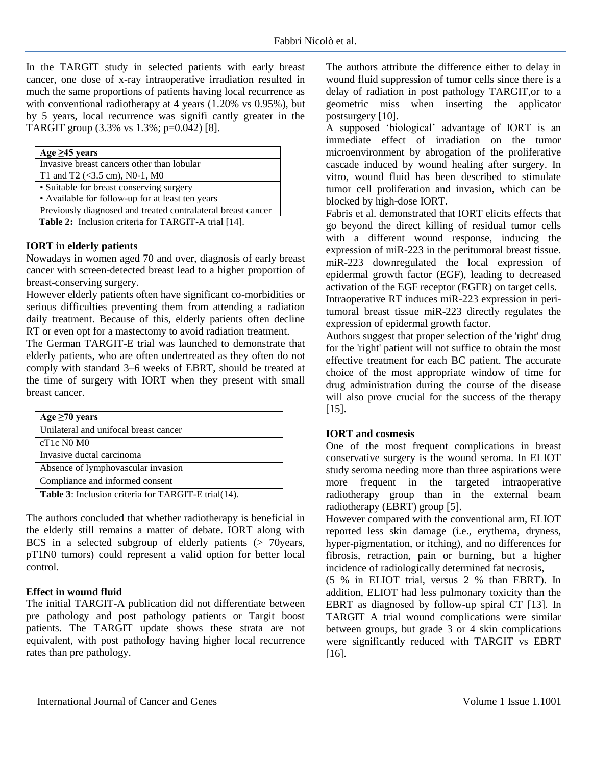In the TARGIT study in selected patients with early breast cancer, one dose of x-ray intraoperative irradiation resulted in much the same proportions of patients having local recurrence as with conventional radiotherapy at 4 years (1.20% vs 0.95%), but by 5 years, local recurrence was signifi cantly greater in the TARGIT group (3.3% vs 1.3%; p=0.042) [8].

| Age $\geq$ 45 years                                          |
|--------------------------------------------------------------|
| Invasive breast cancers other than lobular                   |
| T1 and T2 $(<3.5$ cm), N0-1, M0                              |
| • Suitable for breast conserving surgery                     |
| • Available for follow-up for at least ten years             |
| Previously diagnosed and treated contralateral breast cancer |
| Table $2:$ Inclusion criteria for TADCIT A trial [14]        |

**Table 2:** Inclusion criteria for TARGIT-A trial [14].

#### **IORT in elderly patients**

Nowadays in women aged 70 and over, diagnosis of early breast cancer with screen-detected breast lead to a higher proportion of breast-conserving surgery.

However elderly patients often have significant co-morbidities or serious difficulties preventing them from attending a radiation daily treatment. Because of this, elderly patients often decline RT or even opt for a mastectomy to avoid radiation treatment.

The German TARGIT-E trial was launched to demonstrate that elderly patients, who are often undertreated as they often do not comply with standard 3–6 weeks of EBRT, should be treated at the time of surgery with IORT when they present with small breast cancer.

| Age $\geq 70$ years                   |
|---------------------------------------|
| Unilateral and unifocal breast cancer |
| $cT1c$ NO MO                          |
| Invasive ductal carcinoma             |
| Absence of lymphovascular invasion    |
| Compliance and informed consent       |
|                                       |

 **Table 3**: Inclusion criteria for TARGIT-E trial(14).

The authors concluded that whether radiotherapy is beneficial in the elderly still remains a matter of debate. IORT along with BCS in a selected subgroup of elderly patients  $($   $> 70$ years, pT1N0 tumors) could represent a valid option for better local control.

## **Effect in wound fluid**

The initial TARGIT-A publication did not differentiate between pre pathology and post pathology patients or Targit boost patients. The TARGIT update shows these strata are not equivalent, with post pathology having higher local recurrence rates than pre pathology.

The authors attribute the difference either to delay in wound fluid suppression of tumor cells since there is a delay of radiation in post pathology TARGIT,or to a geometric miss when inserting the applicator postsurgery [10].

A supposed 'biological' advantage of IORT is an immediate effect of irradiation on the tumor microenvironment by abrogation of the proliferative cascade induced by wound healing after surgery. In vitro, wound fluid has been described to stimulate tumor cell proliferation and invasion, which can be blocked by high-dose IORT.

Fabris et al. demonstrated that IORT elicits effects that go beyond the direct killing of residual tumor cells with a different wound response, inducing the expression of miR-223 in the peritumoral breast tissue. miR-223 downregulated the local expression of epidermal growth factor (EGF), leading to decreased activation of the EGF receptor (EGFR) on target cells.

Intraoperative RT induces miR-223 expression in peritumoral breast tissue miR-223 directly regulates the expression of epidermal growth factor.

Authors suggest that proper selection of the 'right' drug for the 'right' patient will not suffice to obtain the most effective treatment for each BC patient. The accurate choice of the most appropriate window of time for drug administration during the course of the disease will also prove crucial for the success of the therapy [15].

#### **IORT and cosmesis**

One of the most frequent complications in breast conservative surgery is the wound seroma. In ELIOT study seroma needing more than three aspirations were more frequent in the targeted intraoperative radiotherapy group than in the external beam radiotherapy (EBRT) group [5].

However compared with the conventional arm, ELIOT reported less skin damage (i.e., erythema, dryness, hyper-pigmentation, or itching), and no differences for fibrosis, retraction, pain or burning, but a higher incidence of radiologically determined fat necrosis,

(5 % in ELIOT trial, versus 2 % than EBRT). In addition, ELIOT had less pulmonary toxicity than the EBRT as diagnosed by follow-up spiral CT [13]. In TARGIT A trial wound complications were similar between groups, but grade 3 or 4 skin complications were significantly reduced with TARGIT vs EBRT [16].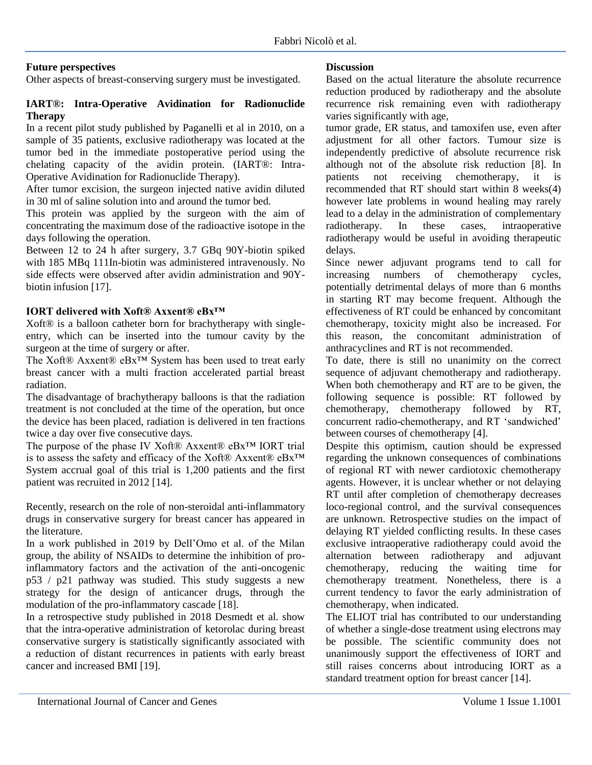#### **Future perspectives**

Other aspects of breast-conserving surgery must be investigated.

## **IART®: Intra-Operative Avidination for Radionuclide Therapy**

In a recent pilot study published by Paganelli et al in 2010, on a sample of 35 patients, exclusive radiotherapy was located at the tumor bed in the immediate postoperative period using the chelating capacity of the avidin protein. (IART®: Intra-Operative Avidination for Radionuclide Therapy).

After tumor excision, the surgeon injected native avidin diluted in 30 ml of saline solution into and around the tumor bed.

This protein was applied by the surgeon with the aim of concentrating the maximum dose of the radioactive isotope in the days following the operation.

Between 12 to 24 h after surgery, 3.7 GBq 90Y-biotin spiked with 185 MBq 111In-biotin was administered intravenously. No side effects were observed after avidin administration and 90Ybiotin infusion [17].

#### **IORT delivered with Xoft® Axxent® eBx™**

Xoft® is a balloon catheter born for brachytherapy with singleentry, which can be inserted into the tumour cavity by the surgeon at the time of surgery or after.

The Xoft® Axxent® eBx™ System has been used to treat early breast cancer with a multi fraction accelerated partial breast radiation.

The disadvantage of brachytherapy balloons is that the radiation treatment is not concluded at the time of the operation, but once the device has been placed, radiation is delivered in ten fractions twice a day over five consecutive days.

The purpose of the phase IV Xoft® Axxent® eBx™ IORT trial is to assess the safety and efficacy of the Xoft® Axxent® eBx™ System accrual goal of this trial is 1,200 patients and the first patient was recruited in 2012 [14].

Recently, research on the role of non-steroidal anti-inflammatory drugs in conservative surgery for breast cancer has appeared in the literature.

In a work published in 2019 by Dell'Omo et al. of the Milan group, the ability of NSAIDs to determine the inhibition of proinflammatory factors and the activation of the anti-oncogenic p53 / p21 pathway was studied. This study suggests a new strategy for the design of anticancer drugs, through the modulation of the pro-inflammatory cascade [18].

In a retrospective study published in 2018 Desmedt et al. show that the intra-operative administration of ketorolac during breast conservative surgery is statistically significantly associated with a reduction of distant recurrences in patients with early breast cancer and increased BMI [19].

#### **Discussion**

Based on the actual literature the absolute recurrence reduction produced by radiotherapy and the absolute recurrence risk remaining even with radiotherapy varies significantly with age,

tumor grade, ER status, and tamoxifen use, even after adjustment for all other factors. Tumour size is independently predictive of absolute recurrence risk although not of the absolute risk reduction [8]. In patients not receiving chemotherapy, it is recommended that RT should start within 8 weeks(4) however late problems in wound healing may rarely lead to a delay in the administration of complementary radiotherapy. In these cases, intraoperative radiotherapy would be useful in avoiding therapeutic delays.

Since newer adjuvant programs tend to call for increasing numbers of chemotherapy cycles, potentially detrimental delays of more than 6 months in starting RT may become frequent. Although the effectiveness of RT could be enhanced by concomitant chemotherapy, toxicity might also be increased. For this reason, the concomitant administration of anthracyclines and RT is not recommended.

To date, there is still no unanimity on the correct sequence of adjuvant chemotherapy and radiotherapy. When both chemotherapy and RT are to be given, the following sequence is possible: RT followed by chemotherapy, chemotherapy followed by RT, concurrent radio-chemotherapy, and RT 'sandwiched' between courses of chemotherapy [4].

Despite this optimism, caution should be expressed regarding the unknown consequences of combinations of regional RT with newer cardiotoxic chemotherapy agents. However, it is unclear whether or not delaying RT until after completion of chemotherapy decreases loco-regional control, and the survival consequences are unknown. Retrospective studies on the impact of delaying RT yielded conflicting results. In these cases exclusive intraoperative radiotherapy could avoid the alternation between radiotherapy and adjuvant chemotherapy, reducing the waiting time for chemotherapy treatment. Nonetheless, there is a current tendency to favor the early administration of chemotherapy, when indicated.

The ELIOT trial has contributed to our understanding of whether a single-dose treatment using electrons may be possible. The scientific community does not unanimously support the effectiveness of IORT and still raises concerns about introducing IORT as a standard treatment option for breast cancer [14].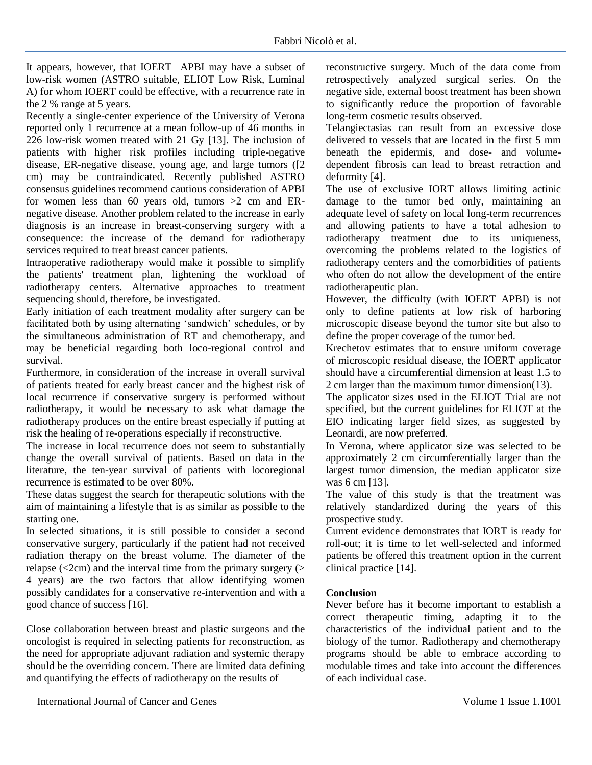It appears, however, that IOERT APBI may have a subset of low-risk women (ASTRO suitable, ELIOT Low Risk, Luminal A) for whom IOERT could be effective, with a recurrence rate in the 2 % range at 5 years.

Recently a single-center experience of the University of Verona reported only 1 recurrence at a mean follow-up of 46 months in 226 low-risk women treated with 21 Gy [13]. The inclusion of patients with higher risk profiles including triple-negative disease, ER-negative disease, young age, and large tumors ([2 cm) may be contraindicated. Recently published ASTRO consensus guidelines recommend cautious consideration of APBI for women less than 60 years old, tumors  $>2$  cm and ERnegative disease. Another problem related to the increase in early diagnosis is an increase in breast-conserving surgery with a consequence: the increase of the demand for radiotherapy services required to treat breast cancer patients.

Intraoperative radiotherapy would make it possible to simplify the patients' treatment plan, lightening the workload of radiotherapy centers. Alternative approaches to treatment sequencing should, therefore, be investigated.

Early initiation of each treatment modality after surgery can be facilitated both by using alternating 'sandwich' schedules, or by the simultaneous administration of RT and chemotherapy, and may be beneficial regarding both loco-regional control and survival.

Furthermore, in consideration of the increase in overall survival of patients treated for early breast cancer and the highest risk of local recurrence if conservative surgery is performed without radiotherapy, it would be necessary to ask what damage the radiotherapy produces on the entire breast especially if putting at risk the healing of re-operations especially if reconstructive.

The increase in local recurrence does not seem to substantially change the overall survival of patients. Based on data in the literature, the ten-year survival of patients with locoregional recurrence is estimated to be over 80%.

These datas suggest the search for therapeutic solutions with the aim of maintaining a lifestyle that is as similar as possible to the starting one.

In selected situations, it is still possible to consider a second conservative surgery, particularly if the patient had not received radiation therapy on the breast volume. The diameter of the relapse  $\left\langle \langle 2cm \rangle \right\rangle$  and the interval time from the primary surgery  $\left\langle \rangle \right\rangle$ 4 years) are the two factors that allow identifying women possibly candidates for a conservative re-intervention and with a good chance of success [16].

Close collaboration between breast and plastic surgeons and the oncologist is required in selecting patients for reconstruction, as the need for appropriate adjuvant radiation and systemic therapy should be the overriding concern. There are limited data defining and quantifying the effects of radiotherapy on the results of

reconstructive surgery. Much of the data come from retrospectively analyzed surgical series. On the negative side, external boost treatment has been shown to significantly reduce the proportion of favorable long-term cosmetic results observed.

Telangiectasias can result from an excessive dose delivered to vessels that are located in the first 5 mm beneath the epidermis, and dose- and volumedependent fibrosis can lead to breast retraction and deformity [4].

The use of exclusive IORT allows limiting actinic damage to the tumor bed only, maintaining an adequate level of safety on local long-term recurrences and allowing patients to have a total adhesion to radiotherapy treatment due to its uniqueness, overcoming the problems related to the logistics of radiotherapy centers and the comorbidities of patients who often do not allow the development of the entire radiotherapeutic plan.

However, the difficulty (with IOERT APBI) is not only to define patients at low risk of harboring microscopic disease beyond the tumor site but also to define the proper coverage of the tumor bed.

Krechetov estimates that to ensure uniform coverage of microscopic residual disease, the IOERT applicator should have a circumferential dimension at least 1.5 to 2 cm larger than the maximum tumor dimension(13).

The applicator sizes used in the ELIOT Trial are not specified, but the current guidelines for ELIOT at the EIO indicating larger field sizes, as suggested by Leonardi, are now preferred.

In Verona, where applicator size was selected to be approximately 2 cm circumferentially larger than the largest tumor dimension, the median applicator size was 6 cm [13].

The value of this study is that the treatment was relatively standardized during the years of this prospective study.

Current evidence demonstrates that IORT is ready for roll-out; it is time to let well-selected and informed patients be offered this treatment option in the current clinical practice [14].

## **Conclusion**

Never before has it become important to establish a correct therapeutic timing, adapting it to the characteristics of the individual patient and to the biology of the tumor. Radiotherapy and chemotherapy programs should be able to embrace according to modulable times and take into account the differences of each individual case.